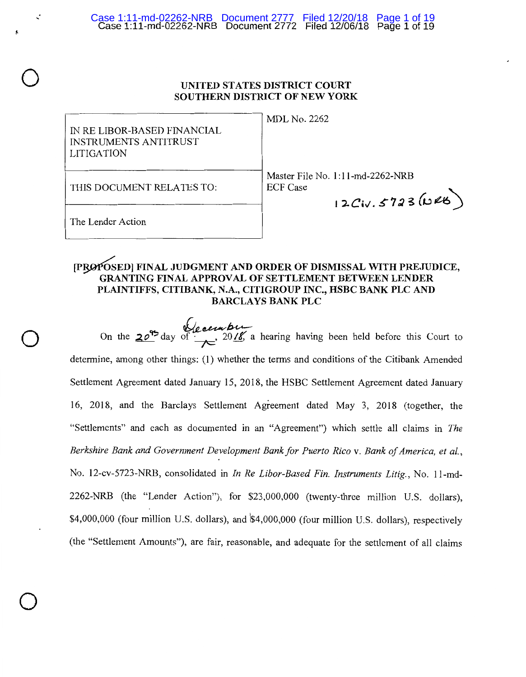# **UNITED STATES DISTRICT COURT SOUTHERN DISTRICT OF NEW YORK**

IN RE LIBOR-BASED FINANCIAL INSTRUMENTS ANTITRUST LITIGATION

MDL No. 2262

THIS DOCUMENT RELATES TO:

Master File No. 1:l l-md-2262-NRB ECF Case

12Civ.5723 (URB)

The Lender Action

*,.:* 

 $\bigcirc$ 

 $\bigcirc$ 

 $\bigcirc$ 

,.

# [PRØPOSED] FINAL JUDGMENT AND ORDER OF DISMISSAL WITH PREJUDICE, **GRANTING FINAL APPROVAL OF SETTLEMENT BETWEEN LENDER PLAINTIFFS, CITIBANK, N.A., CITIGROUP INC., HSBC BANK PLC AND BARCLAYS BANK PLC**

On the **20<sup>9</sup>** day of  $\frac{1}{x}$ , 2018, a hearing having been held before this Court to determine, among other things: (1) whether the terms and conditions of the Citibank Amended Settlement Agreement dated January 15, 2018, the HSBC Settlement Agreement dated January 16, 2018, and the Barclays Settlement Agreement dated May 3, 2018 (together, the "Settlements" and each as documented in an "Agreement") which settle all claims in *The Berkshire Bank and Government Development Bank for Puerto Rico* v. *Bank of America, et al.,*  No. 12-cv-5723-NRB, consolidated in *In Re Libor-Based Fin. Instruments Litig.,* No. 11-md-2262-NRB (the "Lender Action"), for \$23,000,000 (twenty-three million U.S. dollars), \$4,000,000 (four million U.S. dollars), and '\$4,000,000 (four million U.S. dollars), respectively (the "Settlement Amounts"), are fair, reasonable, and adequate for the settlement of all claims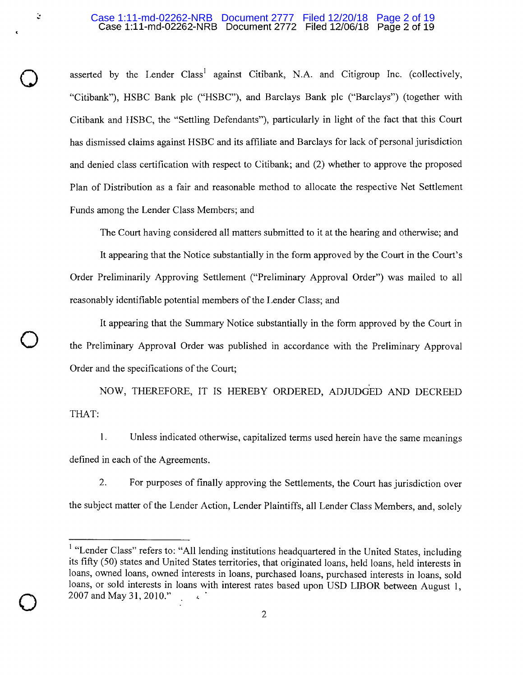## Case 1:11-md-02262-NRB Document 2772 Filed 12/06/18 Page 2 of 19 Case 1:11-md-02262-NRB Document 2777 Filed 12/20/18 Page 2 of 19

 $\bigcirc$ 

 $\ddot{\downarrow}$ 

 $\bigcirc$ 

 $\bigcirc$ 

asserted by the Lender Class<sup>1</sup> against Citibank, N.A. and Citigroup Inc. (collectively, "Citibank"), HSBC Bank plc ("HSBC"), and Barclays Bank plc ("Barclays") (together with Citibank and HSBC, the "Settling Defendants"), particularly in light of the fact that this Court has dismissed claims against HSBC and its affiliate and Barclays for lack of personal jurisdiction and denied class certification with respect to Citibank; and (2) whether to approve the proposed Plan of Distribution as a fair and reasonable method to allocate the respective Net Settlement Funds among the Lender Class Members; and

The Court having considered all matters submitted to it at the hearing and otherwise; and

It appearing that the Notice substantially in the form approved by the Court in the Court's Order Preliminarily Approving Settlement ("Preliminary Approval Order") was mailed to all reasonably identifiable potential members of the Lender Class; and

It appearing that the Summary Notice substantially in the form approved by the Court in the Preliminary Approval Order was published in accordance with the Preliminary Approval Order and the specifications of the Court;

NOW, THEREFORE, IT IS HEREBY ORDERED, ADJUDGED AND DECREED THAT:

1. Unless indicated otherwise, capitalized terms used herein have the same meanings defined in each of the Agreements.

2. For purposes of finally approving the Settlements, the Court has jurisdiction over the subject matter of the Lender Action, Lender Plaintiffs, all Lender Class Members, and, solely

<sup>&</sup>lt;sup>1</sup> "Lender Class" refers to: "All lending institutions headquartered in the United States, including its fifty (50) states and United States territories, that originated loans, held loans, held interests in loans, owned loans, owned interests in loans, purchased loans, purchased interests in loans, sold loans, or sold interests in loans with interest rates based upon USD LIBOR between August I, 2007 and May 31, 2010."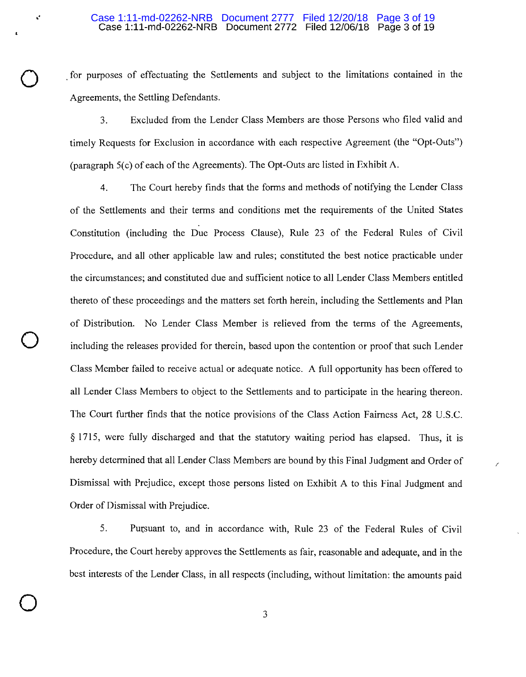for purposes of effectuating the Settlements and subject to the limitations contained in the Agreements, the Settling Defendants.

3. Excluded from the Lender Class Members are those Persons who filed valid and timely Requests for Exclusion in accordance with each respective Agreement (the "Opt-Outs") (paragraph 5(c) of each of the Agreements). The Opt-Outs are listed in Exhibit A.

4. The Court hereby finds that the forms and methods of notifying the Lender Class of the Settlements and their terms and conditions met the requirements of the United States Constitution (including the Due Process Clause), Rule 23 of the Federal Rules of Civil Procedure, and all other applicable law and rules; constituted the best notice practicable under the circumstances; and constituted due and sufficient notice to all Lender Class Members entitled thereto of these proceedings and the matters set forth herein, including the Settlements and Plan of Distribution. No Lender Class Member is relieved from the terms of the Agreements, including the releases provided for therein, based upon the contention or proof that such Lender Class Member failed to receive actual or adequate notice. A full opportunity has been offered to all Lender Class Members to object to the Settlements and to participate in the hearing thereon. The Court further finds that the notice provisions of the Class Action Fairness Act, 28 U.S.C. § 1715, were fully discharged and that the statutory waiting period has elapsed. Thus, it is hereby determined that all Lender Class Members are bound by this Final Judgment and Order of Dismissal with Prejudice, except those persons listed on Exhibit A to this Final Judgment and Order of Dismissal with Prejudice.

 $\bigcirc$ 

 $\bigcirc$ 

5. Pursuant to, and in accordance with, Rule 23 of the Federal Rules of Civil Procedure, the Court hereby approves the Settlements as fair, reasonable and adequate, and in the best interests of the Lender Class, in all respects (including, without limitation: the amounts paid

/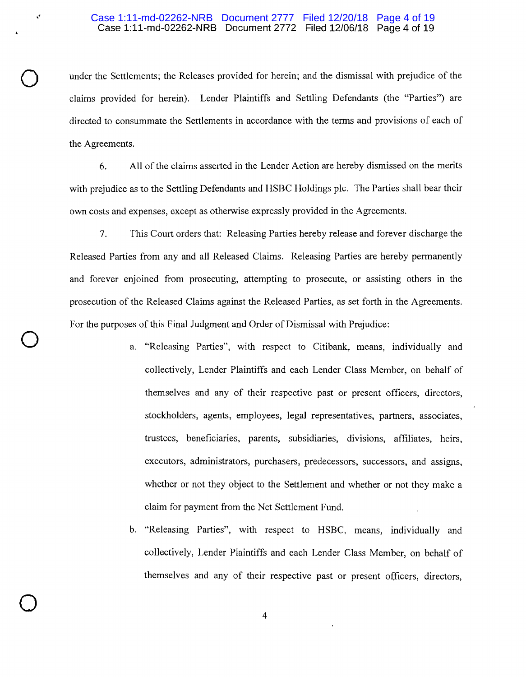## Case 1:11-md-02262-NRB Document 2772 Filed 12/06/18 Page 4 of 19 Case 1:11-md-02262-NRB Document 2777 Filed 12/20/18 Page 4 of 19

,,

 $\bigcirc$ 

 $\bigcirc$ 

 $\bigcirc$ 

under the Settlements; the Releases provided for herein; and the dismissal with prejudice of the claims provided for herein). Lender Plaintiffs and Settling Defendants (the "Parties") are directed to consummate the Settlements in accordance with the terms and provisions of each of the Agreements.

6. All of the claims asserted in the Lender Action are hereby dismissed on the merits with prejudice as to the Settling Defendants and HSBC Holdings plc. The Parties shall bear their own costs and expenses, except as otherwise expressly provided in the Agreements.

7. This Court orders that: Releasing Parties hereby release and forever discharge the Released Parties from any and all Released Claims. Releasing Parties are hereby permanently and forever enjoined from prosecuting, attempting to prosecute, or assisting others in the prosecution of the Released Claims against the Released Parties, as set forth in the Agreements. For the purposes of this Final Judgment and Order of Dismissal with Prejudice:

- "Releasing Parties", with respect to Citibank, means, individually and collectively, Lender Plaintiffs and each Lender Class Member, on behalf of themselves and any of their respective past or present officers, directors, stockholders, agents, employees, legal representatives, partners, associates, trustees, beneficiaries, parents, subsidiaries, divisions, affiliates, heirs, executors, administrators, purchasers, predecessors, successors, and assigns, whether or not they object to the Settlement and whether or not they make a claim for payment from the Net Settlement Fund.
- b. "Releasing Parties", with respect to HSBC, means, individually and collectively, Lender Plaintiffs and each Lender Class Member, on behalf of themselves and any of their respective past or present o(ficers, directors,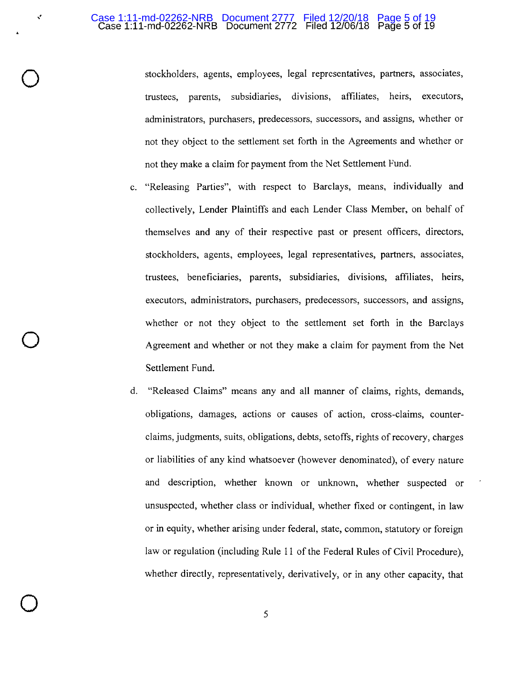#### Case 1:11-md-02262-NRB Document 2772 Filed 12/06/18 Page 5 of 19 Case 1:11-md-02262-NRB Document 2777 Filed 12/20/18 Page 5 of 19

 $\mathbf{v}$ 

 $\bigcirc$ 

 $\bigcirc$ 

 $\bigcirc$ 

stockholders, agents, employees, legal representatives, partners, associates, trustees, parents, subsidiaries, divisions, affiliates, heirs, executors, administrators, purchasers, predecessors, successors, and assigns, whether or not they object to the settlement set forth in the Agreements and whether or not they make a claim for payment from the Net Settlement Fund.

- c. "Releasing Parties", with respect to Barclays, means, individually and collectively, Lender Plaintiffs and each Lender Class Member, on behalf of themselves and any of their respective past or present officers, directors, stockholders, agents, employees, legal representatives, partners, associates, trustees, beneficiaries, parents, subsidiaries, divisions, affiliates, heirs, executors, administrators, purchasers, predecessors, successors, and assigns, whether or not they object to the settlement set forth in the Barclays Agreement and whether or not they make a claim for payment from the Net Settlement Fund.
- d. "Released Claims" means any and all manner of claims, rights, demands, obligations, damages, actions or causes of action, cross-claims, counterclaims, judgments, suits, obligations, debts, setoffs, rights of recovery, charges or liabilities of any kind whatsoever (however denominated), of every nature and description, whether known or unknown, whether suspected or unsuspected, whether class or individual, whether fixed or contingent, in law or in equity, whether arising under federal, state, common, statutory or foreign law or regulation (including Rule 11 of the Federal Rules of Civil Procedure), whether directly, representatively, derivatively, or in any other capacity, that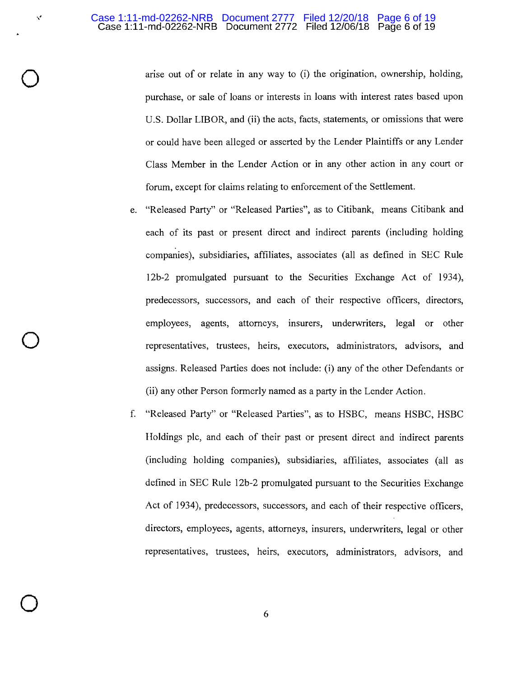## Case 1:11-md-02262-NRB Document 2772 **Filed** 12/06/18 Page 6 of 19 Case 1:11-md-02262-NRB Document 2777 Filed 12/20/18 Page 6 of 19

 $\mathbf{v}$ 

 $\bigcirc$ 

 $\bigcirc$ 

 $\bigcirc$ 

arise out of or relate in any way to (i) the origination, ownership, holding, purchase, or sale of loans or interests in loans with interest rates based upon U.S. Dollar LIBOR, and (ii) the acts, facts, statements, or omissions that were or could have been alleged or asserted by the Lender Plaintiffs or any Lender Class Member in the Lender Action or in any other action in any court or forum, except for claims relating to enforcement of the Settlement.

- e. "Released Party" or "Released Parties", as to Citibank, means Citibank and each of its past or present direct and indirect parents (including holding companies), subsidiaries, affiliates, associates (all as defined in SEC Rule 12b-2 promulgated pursuant to the Securities Exchange Act of 1934), predecessors, successors, and each of their respective officers, directors, employees, agents, attorneys, insurers, underwriters, legal or other representatives, trustees, heirs, executors, administrators, advisors, and assigns. Released Parties does not include: (i) any of the other Defendants or (ii) any other Person formerly named as a party in the Lender Action.
- f. "Released Party" or "Released Parties", as to HSBC, means HSBC, HSBC Holdings plc, and each of their past or present direct and indirect parents (including holding companies), subsidiaries, affiliates, associates (all as defined in SEC Rule 12b-2 promulgated pursuant to the Securities Exchange Act of 1934), predecessors, successors, and each of their respective officers, directors, employees, agents, attorneys, insurers, underwriters, legal or other representatives, trustees, heirs, executors, administrators, advisors, and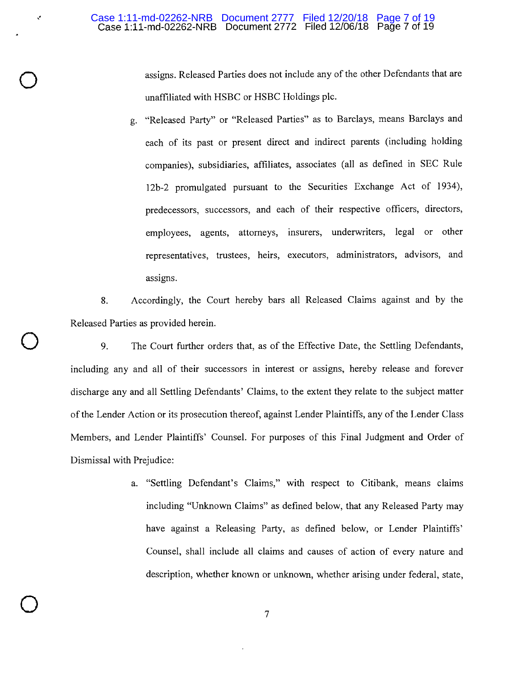,,

 $\bigcirc$ 

 $\bigcirc$ 

 $\bigcirc$ 

assigns. Released Parties does not include any of the other Defendants that are unaffiliated with HSBC or HSBC Holdings plc.

g. "Released Party" or "Released Parties" as to Barclays, means Barclays and each of its past or present direct and indirect parents (including holding companies), subsidiaries, affiliates, associates (all as defined in SEC Rule 12b-2 promulgated pursuant to the Securities Exchange Act of 1934), predecessors, successors, and each of their respective officers, directors, employees, agents, attorneys, insurers, underwriters, legal or other representatives, trustees, heirs, executors, administrators, advisors, and assigns.

8. Accordingly, the Court hereby bars all Released Claims against and by the Released Parties as provided herein.

9. The Court further orders that, as of the Effective Date, the Settling Defendants, including any and all of their successors in interest or assigns, hereby release and forever discharge any and all Settling Defendants' Claims, to the extent they relate to the subject matter of the Lender Action or its prosecution thereof, against Lender Plaintiffs, any of the Lender Class Members, and Lender Plaintiffs' Counsel. For purposes of this Final Judgment and Order of Dismissal with Prejudice:

> a. "Settling Defendant's Claims," with respect to Citibank, means claims including "Unknown Claims" as defined below, that any Released Party may have against a Releasing Party, as defined below, or Lender Plaintiffs' Counsel, shall include all claims and causes of action of every nature and description, whether known or unknown, whether arising under federal, state,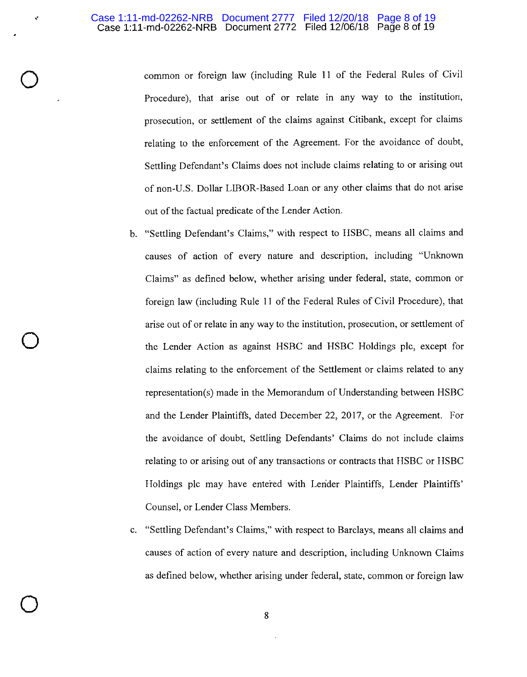# Case 1:11-md-02262-NRB Document 2772 Filed 12/06/18 Page 8 of 19 Case 1:11-md-02262-NRB Document 2777 Filed 12/20/18 Page 8 of 19

,.

 $\bigcirc$ 

 $\bigcirc$ 

 $\bigcirc$ 

common or foreign law (including Rule 11 of the Federal Rules of Civil Procedure), that arise out of or relate in any way to the institution, prosecution, or settlement of the claims against Citibank, except for claims relating to the enforcement of the Agreement. For the avoidance of doubt, Settling Defendant's Claims does not include claims relating to or arising out of non-U.S. Dollar LIBOR-Based Loan or any other claims that do not arise out of the factual predicate of the Lender Action.

- b. "Settling Defendant's Claims," with respect to HSBC, means all claims and causes of action of every nature and description, including "Unknown Claims" as defined below, whether arising under federal, state, common or foreign law (including Rule 11 of the Federal Rules of Civil Procedure), that arise out of or relate in any way to the institution, prosecution, or settlement of the Lender Action as against HSBC and HSBC Holdings plc, except for claims relating to the enforcement of the Settlement or claims related to any representation(s) made in the Memorandum of Understanding between HSBC and the Lender Plaintiffs, dated December 22, 2017, or the Agreement. For the avoidance of doubt, Settling Defendants' Claims do not include claims relating to or arising out of any transactions or contracts that HSBC or HSBC Holdings plc may have entered with Lerider Plaintiffs, Lender Plaintiffs' Counsel, or Lender Class Members.
- c. "Settling Defendant's Claims," with respect to Barclays, means all claims and causes of action of every nature and description, including Unknown Claims as defined below, whether arising under federal, state, common or foreign law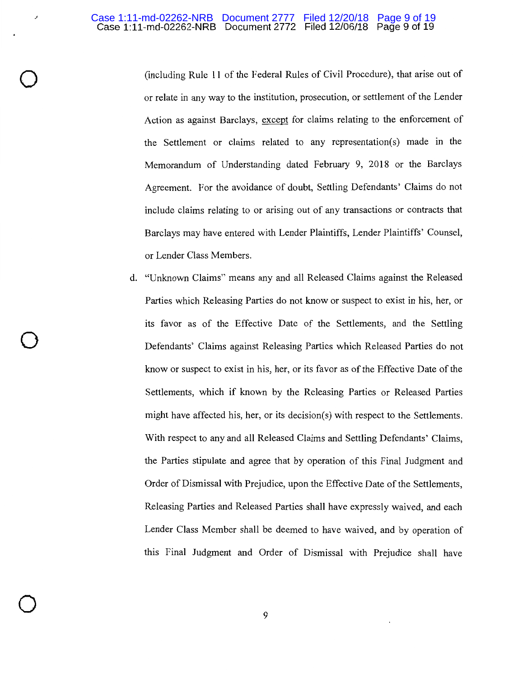·'

 $\bigcirc$ 

 $\bigcirc$ 

 $\bigcirc$ 

(including Rule 11 of the Federal Rules of Civil Procedure), that arise out of or relate in any way to the institution, prosecution, or settlement of the Lender Action as against Barclays, except for claims relating to the enforcement of the Settlement or claims related to any representation(s) made in the Memorandum of Understanding dated February 9, 2018 or the Barclays Agreement. For the avoidance of doubt, Settling Defendants' Claims do not include claims relating to or arising out of any transactions or contracts that Barclays may have entered with Lender Plaintiffs, Lender Plaintiffs' Counsel, or Lender Class Members.

d. "Unknown Claims" means any and all Released Claims against the Released Parties which Releasing Parties do not know or suspect to exist in his, her, or its favor as of the Effective Date of the Settlements, and the Settling Defendants' Claims against Releasing Parties which Released Parties do not know or suspect to exist in his, her, or its favor as of the Effective Date of the Settlements, which if known by the Releasing Parties or Released Parties might have affected his, her, or its decision(s) with respect to the Settlements. With respect to any and all Released Claims and Settling Defendants' Claims, the Parties stipulate and agree that by operation of this Final Judgment and Order of Dismissal with Prejudice, upon the Effective Date of the Settlements, Releasing Parties and Released Parties shall have expressly waived, and each Lender Class Member shall be deemed to have waived, and by operation of this Final Judgment and Order of Dismissal with Prejudice shall have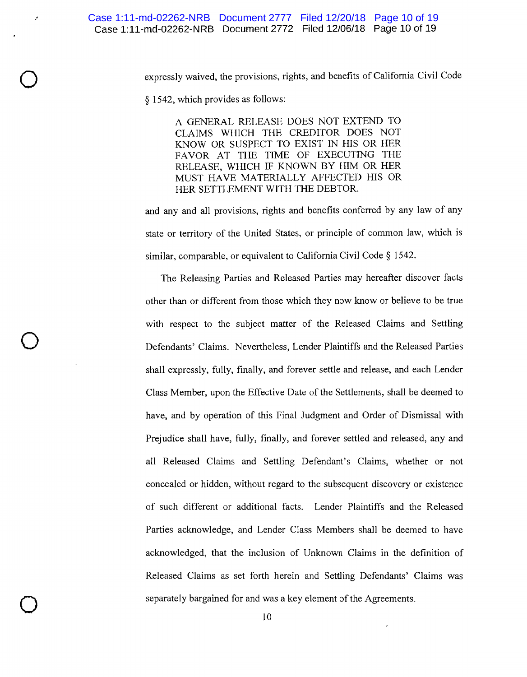expressly waived, the provisions, rights, and benefits of California Civil Code

§ 1542, which provides as follows:

·'

 $\bigcirc$ 

 $\bigcirc$ 

 $\bigcirc$ 

A GENERAL RELEASE DOES NOT EXTEND TO CLAIMS WHICH THE CREDITOR DOES NOT KNOW OR SUSPECT TO EXIST IN HIS OR HER FAVOR AT THE TIME OF EXECUTING THE RELEASE, WHICH IF KNOWN BY HIM OR HER MUST HAVE MATERIALLY AFFECTED HIS OR HER SETTLEMENT WITH THE DEBTOR.

and any and all provisions, rights and benefits conferred by any law of any state or territory of the United States, or principle of common law, which is similar, comparable, or equivalent to California Civil Code § 1542.

The Releasing Parties and Released Parties may hereafter discover facts other than or different from those which they now know or believe to be true with respect to the subject matter of the Released Claims and Settling Defendants' Claims. Nevertheless, Lender Plaintiffs and the Released Parties shall expressly, fully, finally, and forever settle and release, and each Lender Class Member, upon the Effective Date of the Settlements, shall be deemed to have, and by operation of this Final Judgment and Order of Dismissal with Prejudice shall have, fully, finally, and forever settled and released, any and all Released Claims and Settling Defendant's Claims, whether or not concealed or hidden, without regard to the subsequent discovery or existence of such different or additional facts. Lender Plaintiffs and the Released Parties acknowledge, and Lender Class Members shall be deemed to have acknowledged, that the inclusion of Unknown Claims in the definition of Released Claims as set forth herein and Settling Defendants' Claims was separately bargained for and was a key element of the Agreements.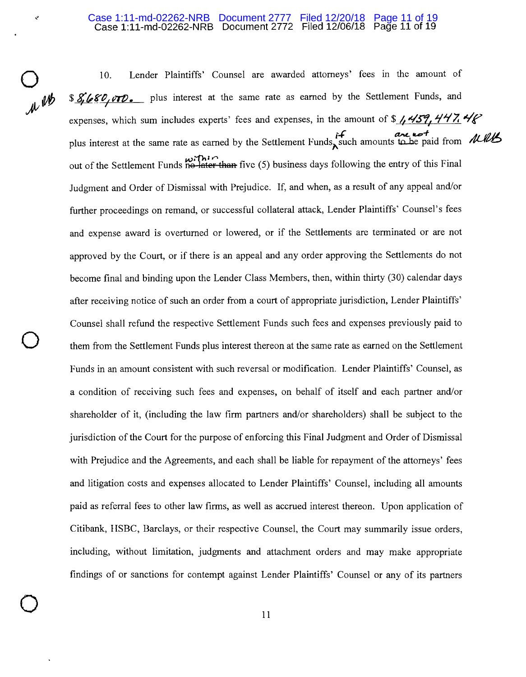#### Case 1:11-md-02262-NRB Document 2772 Filed 12/06/18 Page 11 of 19 Case 1:11-md-02262-NRB Document 2777 Filed 12/20/18 Page 11 of 19

 $\sim$ 

 $\bigcirc$ 

 $\bigcirc$ 

 $\bigcirc$ 

 $\mu^{up}$ 

10. Lender Plaintiffs' Counsel are awarded attorneys' fees in the amount of \$ **8, 680, 000.** plus interest at the same rate as earned by the Settlement Funds, and expenses, which sum includes experts' fees and expenses, in the amount of \$  $\frac{1}{4}$   $\frac{1}{3}$   $\frac{1}{12}$   $\frac{1}{12}$ *t+* **a,,oL** *,,\_+* ,,, *1/JJL*  plus interest at the same rate as earned by the Settlement Funds, such amounts to be paid from *<i>the different* out of the Settlement Funds no later than five (5) business days following the entry of this Final Judgment and Order of Dismissal with Prejudice. If, and when, as a result of any appeal and/or further proceedings on remand, or successful collateral attack, Lender Plaintiffs' Counsel's fees and expense award is overturned or lowered, or if the Settlements are terminated or are not approved by the Court, or if there is an appeal and any order approving the Settlements do not become final and binding upon the Lender Class Members, then, within thirty (30) calendar days after receiving notice of such an order from a court of appropriate jurisdiction, Lender Plaintiffs' Counsel shall refund the respective Settlement Funds such fees and expenses previously paid to them from the Settlement Funds plus interest thereon at the same rate as earned on the Settlement Funds in an amount consistent with such reversal or modification. Lender Plaintiffs' Counsel, as a condition of receiving such fees and expenses, on behalf of itself and each partner and/or shareholder of it, (including the law firm partners and/or shareholders) shall be subject to the jurisdiction of the Court for the purpose of enforcing this Final Judgment and Order of Dismissal with Prejudice and the Agreements, and each shall be liable for repayment of the attorneys' fees and litigation costs and expenses allocated to Lender Plaintiffs' Counsel, including all amounts paid as referral fees to other law firms, as well as accrued interest thereon. Upon application of Citibank, HSBC, Barclays, or their respective Counsel, the Court may summarily issue orders, including, without limitation, judgments and attachment orders and may make appropriate findings of or sanctions for contempt against Lender Plaintiffs' Counsel or any of its partners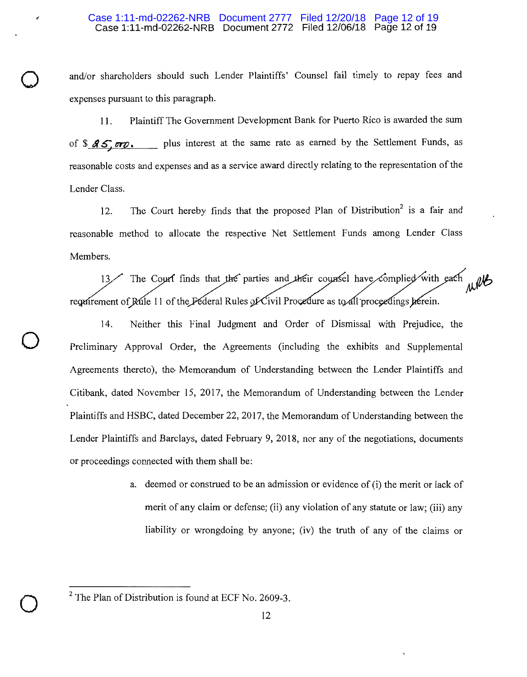# Case 1:11-md-02262-NRB Document 2772 Filed 12/06/18 Page 12 of 19 Case 1:11-md-02262-NRB Document 2777 Filed 12/20/18 Page 12 of 19

.,,

 $\bigcirc$ 

 $\bigcirc$ 

and/or shareholders should such Lender Plaintiffs' Counsel fail timely to repay fees and expenses pursuant to this paragraph.

11. Plaintiff The Government Development Bank for Puerto Rico is awarded the sum of  $\sqrt[3]{45}$  or  $\sqrt{2}$ , plus interest at the same rate as earned by the Settlement Funds, as reasonable costs and expenses and as a service award directly relating to the representation of the Lender Class.

12. The Court hereby finds that the proposed Plan of Distribution<sup>2</sup> is a fair and reasonable method to allocate the respective Net Settlement Funds among Lender Class Members.

The Court finds that the parties and their counsel have complied with each / request rement of Rule 11 of the

14. Neither this Final Judgment and Order of Dismissal with Prejudice, the Preliminary Approval Order, the Agreements (including the exhibits and Supplemental Agreements thereto), the Memorandum of Understanding between the Lender Plaintiffs and Citibank, dated November 15, 2017, the Memorandum of Understanding between the Lender Plaintiffs and HSBC, dated December 22, 2017, the Memorandum of Understanding between the Lender Plaintiffs and Barclays, dated February 9, 2018, nor any of the negotiations, documents or proceedings connected with them shall be:

> a. deemed or construed to be an admission or evidence of (i) the merit or lack of merit of any claim or defense; (ii) any violation of any statute or law; (iii) any liability or wrongdoing by anyone; (iv) the truth of any of the claims or

 $2$  The Plan of Distribution is found at ECF No. 2609-3.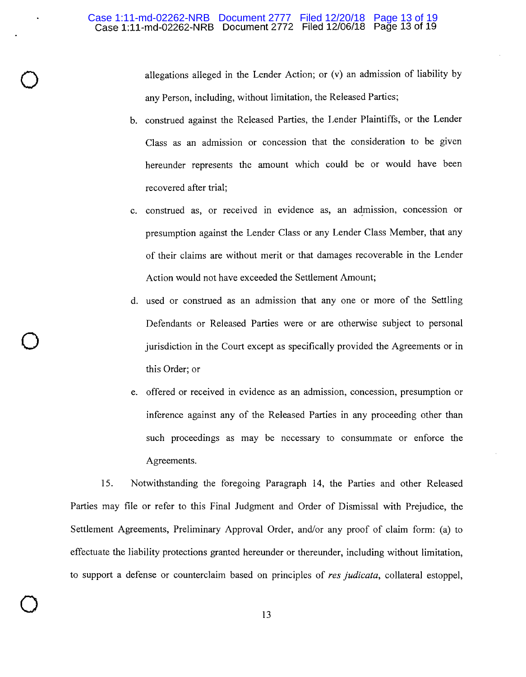$\bigcirc$ 

 $\bigcirc$ 

 $\bigcirc$ 

allegations alleged in the Lender Action; or (v) an admission of liability by any Person, including, without limitation, the Released Parties;

- b. construed against the Released Parties, the Lender Plaintiffs, or the Lender Class as an admission or concession that the consideration to be given hereunder represents the amount which could be or would have been recovered after trial;
- c. construed as, or received in evidence as, an admission, concession or presumption against the Lender Class or any Lender Class Member, that any of their claims are without merit or that damages recoverable in the Lender Action would not have exceeded the Settlement Amount;
- d. used or construed as an admission that any one or more of the Settling Defendants or Released Parties were or are otherwise subject to personal jurisdiction in the Court except as specifically provided the Agreements or in this Order; or
- e. offered or received in evidence as an admission, concession, presumption or inference against any of the Released Parties in any proceeding other than such proceedings as may be necessary to consummate or enforce the Agreements.

15. Notwithstanding the foregoing Paragraph 14, the Parties and other Released Parties may file or refer to this Final Judgment and Order of Dismissal with Prejudice, the Settlement Agreements, Preliminary Approval Order, and/or any proof of claim form: (a) to effectuate the liability protections granted hereunder or thereunder, including without limitation, to support a defense or counterclaim based on principles of *res judicata,* collateral estoppel,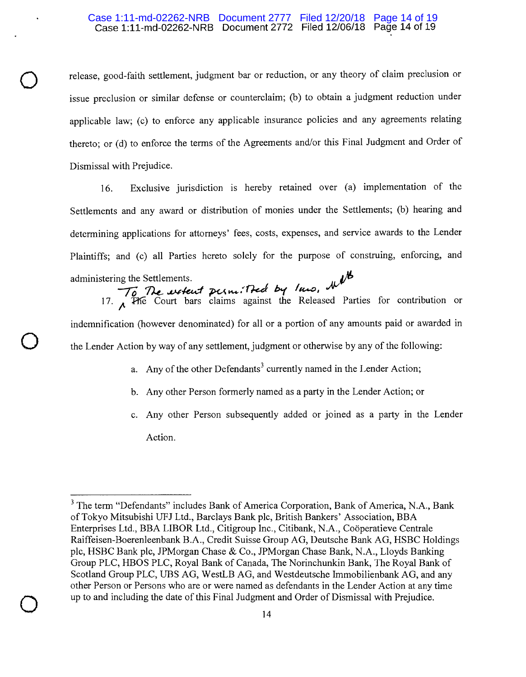# Case 1:11-md-02262-NRB Document 2772 Filed 12/06/18 Page 14 of 19 Case 1:11-md-02262-NRB Document 2777 Filed 12/20/18 Page 14 of 19

release, good-faith settlement, judgment bar or reduction, or any theory of claim preclusion or issue preclusion or similar defense or counterclaim; (b) to obtain a judgment reduction under applicable law; (c) to enforce any applicable insurance policies and any agreements relating thereto; or (d) to enforce the terms of the Agreements and/or this Final Judgment and Order of Dismissal with Prejudice.

16. Exclusive jurisdiction is hereby retained over (a) implementation of the Settlements and any award or distribution of monies under the Settlements; (b) hearing and determining applications for attorneys' fees, costs, expenses, and service awards to the Lender Plaintiffs; and (c) all Parties hereto solely for the purpose of construing, enforcing, and administering the Settlements.

# $\frac{1}{\sqrt{6}}$  The wetcut permitted by law. It 17. **The** Court bars claims against the Released Parties for contribution or

 $\bigcirc$ 

 $\bigcirc$ 

indemnification (however denominated) for all or a portion of any amounts paid or awarded in the Lender Action by way of any settlement, judgment or otherwise by any of the following:

- a. Any of the other Defendants<sup>3</sup> currently named in the Lender Action:
- b. Any other Person formerly named as a party in the Lender Action; or
- c. Any other Person subsequently added or joined as a party in the Lender Action.

<sup>&</sup>lt;sup>3</sup> The term "Defendants" includes Bank of America Corporation, Bank of America, N.A., Bank of Tokyo Mitsubishi UFJ Ltd., Barclays Bank plc, British Bankers' Association, BBA Enterprises Ltd., BBA LIBOR Ltd., Citigroup Inc., Citibank, N.A., Cooperatieve Centrale Raiffeisen-Boerenleenbank B.A., Credit Suisse Group AG, Deutsche Bank AG, HSBC Holdings plc, HSBC Bank plc, JPMorgan Chase & Co., JPMorgan Chase Bank, N.A., Lloyds Banking Group PLC, HBOS PLC, Royal Bank of Canada, The Norinchunkin Bank, The Royal Bank of Scotland Group PLC, UBS AG, WestLB AG, and Westdeutsche Immobilienbank AG, and any other Person or Persons who are or were named as defendants in the Lender Action at any time up to and including the date of this Final Judgment and Order of Dismissal with Prejudice.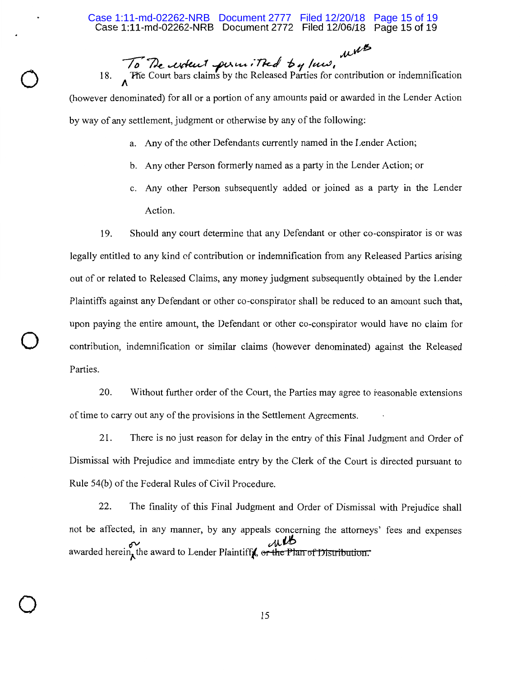$\mu$  $\mu$  $\phi$ To The woken't permitted by law,

 $\bigcirc$ 

 $\bigcirc$ 

 $\bigcirc$ 

18. The Court bars claims by the Released Parties for contribution or indemnification (however denominated) for all or a portion of any amounts paid or awarded in the Lender Action by way of any settlement, judgment or otherwise by any of the following:

- a. Any of the other Defendants currently named in the Lender Action;
- b. Any other Person formerly named as a party in the Lender Action; or
- c. Any other Person subsequently added or joined as a party in the Lender Action.

19. Should any court determine that any Defendant or other co-conspirator is or was legally entitled to any kind of contribution or indemnification from any Released Parties arising out of or related to Released Claims, any money judgment subsequently obtained by the Lender Plaintiffs against any Defendant or other co-conspirator shall be reduced to an amount such that, upon paying the entire amount, the Defendant or other co-conspirator would have no claim for contribution, indemnification or similar claims (however denominated) against the Released Parties.

20. Without further order of the Court, the Parties may agree to reasonable extensions of time to carry out any of the provisions in the Settlement Agreements.

21. There is no just reason for delay in the entry of this Final Judgment and Order of Dismissal with Prejudice and immediate entry by the Clerk of the Court is directed pursuant to Rule 54(b) of the Federal Rules of Civil Procedure.

22. The finality of this Final Judgment and Order of Dismissal with Prejudice shall not be affected, in any manner, by any appeals concerning the attorneys' fees and expenses awarded herein, the award to Lender Plaintiff, or the Plan of Distribution.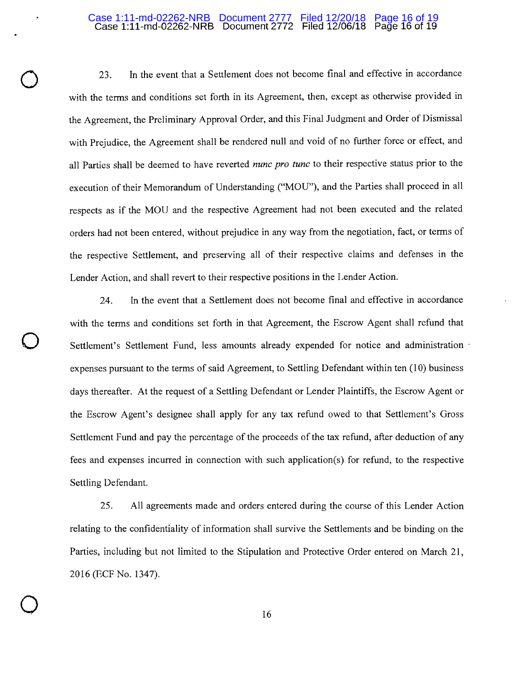#### Case 1:11-md-02262-NRB Document 2772 Filed 12/06/18 Page 16 of 19 Case 1:11-md-02262-NRB Document 2777 Filed 12/20/18 Page 16 of 19

 $\bigcirc$ 

 $\bigcirc$ 

 $\bigcirc$ 

23. In the event that a Settlement does not become final and effective in accordance with the terms and conditions set forth in its Agreement, then, except as otherwise provided in the Agreement, the Preliminary Approval Order, and this Final Judgment and Order of Dismissal with Prejudice, the Agreement shall be rendered null and void of no further force or effect, and all Parties shall be deemed to have reverted *nunc pro tune* to their respective status prior to the execution of their Memorandum of Understanding ("MOU"), and the Parties shall proceed in all respects as if the MOU and the respective Agreement had not been executed and the related orders had not been entered, without prejudice in any way from the negotiation, fact, or terms of the respective Settlement, and preserving all of their respective claims and defenses in the Lender Action, and shall revert to their respective positions in the Lender Action.

24. In the event that a Settlement does not become final and effective in accordance with the terms and conditions set forth in that Agreement, the Escrow Agent shall refund that Settlement's Settlement Fund, less amounts already expended for notice and administration expenses pursuant to the terms of said Agreement, to Settling Defendant within ten (10) business days thereafter. At the request of a Settling Defendant or Lender Plaintiffs, the Escrow Agent or the Escrow Agent's designee shall apply for any tax refund owed to that Settlement's Gross Settlement Fund and pay the percentage of the proceeds of the tax refund, after deduction of any fees and expenses incurred in connection with such application(s) for refund, to the respective Settling Defendant.

25. All agreements made and orders entered during the course of this Lender Action relating to the confidentiality of information shall survive the Settlements and be binding on the Parties, including but not limited to the Stipulation and Protective Order entered on March 21, 2016 (ECF No. 1347).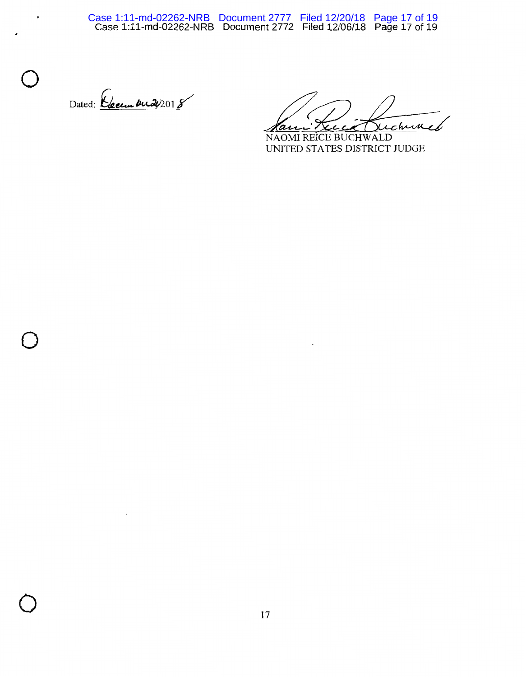Dated: Ceum **Du 2**018

 $\bigcirc$ 

A

 $\bigcirc$ 

Kami Kuch Buchwech

NAOMI REICE BUCHWALD UNITED STATES DISTRICT JUDGE

 $\cdot$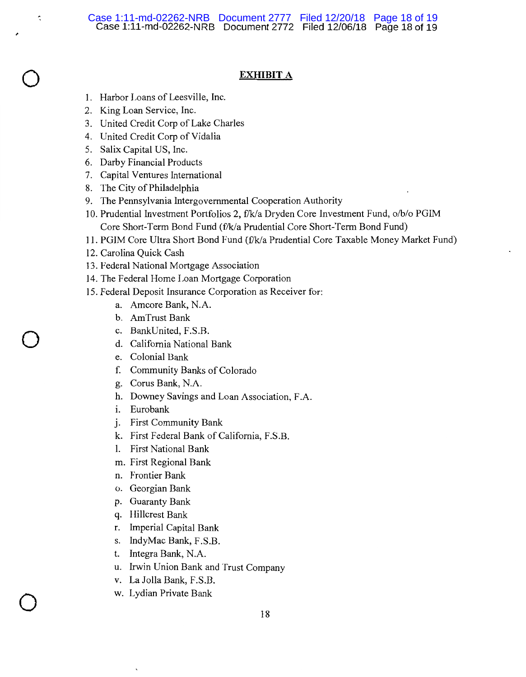# **EXHIBIT A**

- I. Harbor Loans of Leesville, Inc.
- 2. King Loan Service, Inc.

,

 $\bigcirc$ 

¢,

 $\bigcirc$ 

 $\bigcirc$ 

- 3. United Credit Corp of Lake Charles
- 4. United Credit Corp of Vidalia
- 5. Salix Capital US, Inc.
- 6. Darby Financial Products
- 7. Capital Ventures International
- 8. The City of Philadelphia
- 9. The Pennsylvania Intergovernmental Cooperation Authority
- 10. Prudential Investment Portfolios 2, f/k/a Dryden Core Investment Fund, o/b/o PGIM Core Short-Term Bond Fund (f/k/a Prudential Core Short-Term Bond Fund)
- 11. PGIM Core Ultra Short Bond Fund {£'k/a Prudential Core Taxable Money Market Fund)
- 12. Carolina Quick Cash
- 13. Federal National Mortgage Association
- 14. The Federal Home Loan Mortgage Corporation
- 15. Federal Deposit Insurance Corporation as Receiver for:
	- a. Amcore Bank, N.A.
	- b. AmTrust Bank
	- c. BankUnited, F.S.B.
	- d. California National Bank
	- e. Colonial Bank
	- f. Community Banks of Colorado
	- g. Corus Bank, N.A.
	- h. Downey Savings and Loan Association, F .A.
	- i. Eurobank
	- j. First Community Bank
	- k. First Federal Bank of California, F.S.B.
	- I. First National Bank
	- m. First Regional Bank
	- n. Frontier Bank
	- o. Georgian Bank
	- p. Guaranty Bank
	- q. Hillcrest Bank
	- r. Imperial Capital Bank
	- s. IndyMac Bank, F .S.B.
	- t. Integra Bank, N.A.
	- u. Irwin Union Bank and Trust Company
	- v. La Jolla Bank, F.S.B.
	- w. Lydian Private Bank